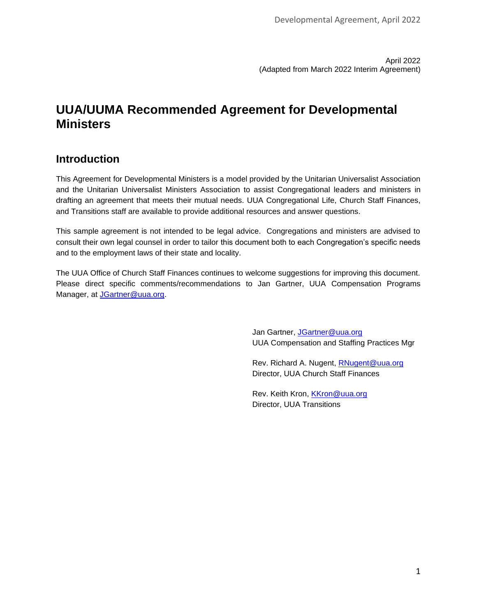# **UUA/UUMA Recommended Agreement for Developmental Ministers**

# **Introduction**

This Agreement for Developmental Ministers is a model provided by the Unitarian Universalist Association and the Unitarian Universalist Ministers Association to assist Congregational leaders and ministers in drafting an agreement that meets their mutual needs. UUA Congregational Life, Church Staff Finances, and Transitions staff are available to provide additional resources and answer questions.

This sample agreement is not intended to be legal advice. Congregations and ministers are advised to consult their own legal counsel in order to tailor this document both to each Congregation's specific needs and to the employment laws of their state and locality.

The UUA Office of Church Staff Finances continues to welcome suggestions for improving this document. Please direct specific comments/recommendations to Jan Gartner, UUA Compensation Programs Manager, at [JGartner@uua.org.](mailto:JGartner@uua.org)

> Jan Gartner, [JGartner@uua.org](mailto:JGartner@uua.org) UUA Compensation and Staffing Practices Mgr

Rev. Richard A. Nugent, [RNugent@uua.org](mailto:RNugent@uua.org) Director, UUA Church Staff Finances

Rev. Keith Kron, [KKron@uua.org](mailto:KKron@uua.org) Director, UUA Transitions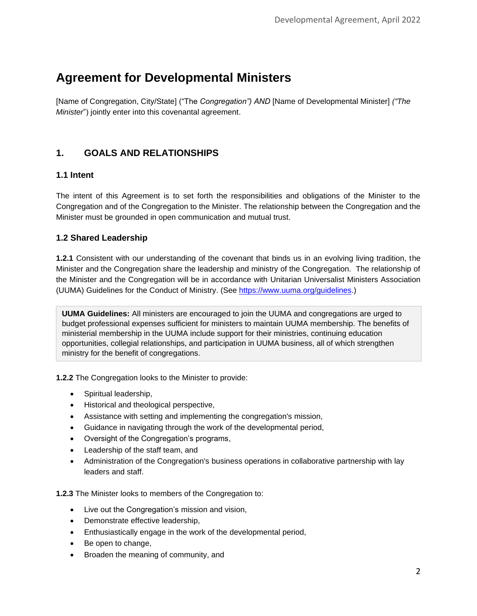# **Agreement for Developmental Ministers**

[Name of Congregation, City/State] ("The *Congregation") AND* [Name of Developmental Minister] *("The Minister*") jointly enter into this covenantal agreement.

# **1. GOALS AND RELATIONSHIPS**

# **1.1 Intent**

The intent of this Agreement is to set forth the responsibilities and obligations of the Minister to the Congregation and of the Congregation to the Minister. The relationship between the Congregation and the Minister must be grounded in open communication and mutual trust.

# **1.2 Shared Leadership**

**1.2.1** Consistent with our understanding of the covenant that binds us in an evolving living tradition, the Minister and the Congregation share the leadership and ministry of the Congregation. The relationship of the Minister and the Congregation will be in accordance with Unitarian Universalist Ministers Association (UUMA) Guidelines for the Conduct of Ministry. (See [https://www.uuma.org/guidelines.](https://www.uuma.org/guidelines))

**UUMA Guidelines:** All ministers are encouraged to join the UUMA and congregations are urged to budget professional expenses sufficient for ministers to maintain UUMA membership. The benefits of ministerial membership in the UUMA include support for their ministries, continuing education opportunities, collegial relationships, and participation in UUMA business, all of which strengthen ministry for the benefit of congregations.

**1.2.2** The Congregation looks to the Minister to provide:

- Spiritual leadership,
- Historical and theological perspective,
- Assistance with setting and implementing the congregation's mission,
- Guidance in navigating through the work of the developmental period,
- Oversight of the Congregation's programs,
- Leadership of the staff team, and
- Administration of the Congregation's business operations in collaborative partnership with lay leaders and staff.

**1.2.3** The Minister looks to members of the Congregation to:

- Live out the Congregation's mission and vision,
- Demonstrate effective leadership,
- Enthusiastically engage in the work of the developmental period,
- Be open to change,
- Broaden the meaning of community, and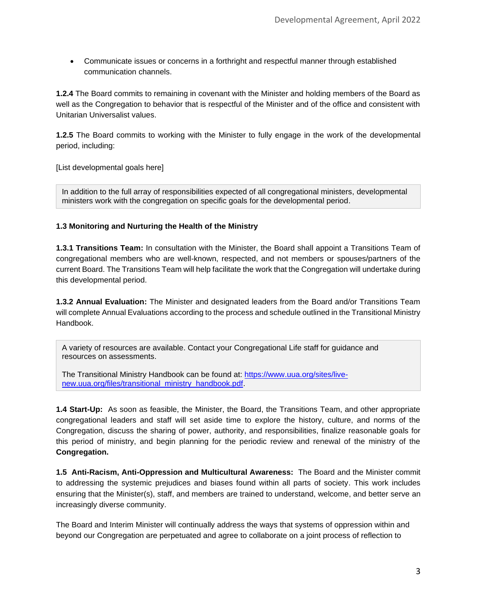• Communicate issues or concerns in a forthright and respectful manner through established communication channels.

**1.2.4** The Board commits to remaining in covenant with the Minister and holding members of the Board as well as the Congregation to behavior that is respectful of the Minister and of the office and consistent with Unitarian Universalist values.

**1.2.5** The Board commits to working with the Minister to fully engage in the work of the developmental period, including:

[List developmental goals here]

In addition to the full array of responsibilities expected of all congregational ministers, developmental ministers work with the congregation on specific goals for the developmental period.

#### **1.3 Monitoring and Nurturing the Health of the Ministry**

**1.3.1 Transitions Team:** In consultation with the Minister, the Board shall appoint a Transitions Team of congregational members who are well-known, respected, and not members or spouses/partners of the current Board. The Transitions Team will help facilitate the work that the Congregation will undertake during this developmental period.

**1.3.2 Annual Evaluation:** The Minister and designated leaders from the Board and/or Transitions Team will complete Annual Evaluations according to the process and schedule outlined in the Transitional Ministry Handbook.

A variety of resources are available. Contact your Congregational Life staff for guidance and resources on assessments.

The Transitional Ministry Handbook can be found at: [https://www.uua.org/sites/live](https://www.uua.org/sites/live-new.uua.org/files/transitional_ministry_handbook.pdf)[new.uua.org/files/transitional\\_ministry\\_handbook.pdf.](https://www.uua.org/sites/live-new.uua.org/files/transitional_ministry_handbook.pdf)

**1.4 Start-Up:** As soon as feasible, the Minister, the Board, the Transitions Team, and other appropriate congregational leaders and staff will set aside time to explore the history, culture, and norms of the Congregation, discuss the sharing of power, authority, and responsibilities, finalize reasonable goals for this period of ministry, and begin planning for the periodic review and renewal of the ministry of the **Congregation.**

**1.5 Anti-Racism, Anti-Oppression and Multicultural Awareness:** The Board and the Minister commit to addressing the systemic prejudices and biases found within all parts of society. This work includes ensuring that the Minister(s), staff, and members are trained to understand, welcome, and better serve an increasingly diverse community.

The Board and Interim Minister will continually address the ways that systems of oppression within and beyond our Congregation are perpetuated and agree to collaborate on a joint process of reflection to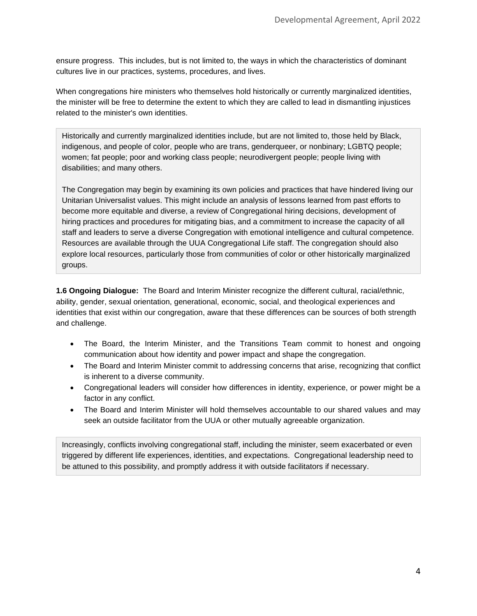ensure progress. This includes, but is not limited to, the ways in which the characteristics of dominant cultures live in our practices, systems, procedures, and lives.

When congregations hire ministers who themselves hold historically or currently marginalized identities, the minister will be free to determine the extent to which they are called to lead in dismantling injustices related to the minister's own identities.

Historically and currently marginalized identities include, but are not limited to, those held by Black, indigenous, and people of color, people who are trans, genderqueer, or nonbinary; LGBTQ people; women; fat people; poor and working class people; neurodivergent people; people living with disabilities; and many others.

The Congregation may begin by examining its own policies and practices that have hindered living our Unitarian Universalist values. This might include an analysis of lessons learned from past efforts to become more equitable and diverse, a review of Congregational hiring decisions, development of hiring practices and procedures for mitigating bias, and a commitment to increase the capacity of all staff and leaders to serve a diverse Congregation with emotional intelligence and cultural competence. Resources are available through the UUA Congregational Life staff. The congregation should also explore local resources, particularly those from communities of color or other historically marginalized groups.

**1.6 Ongoing Dialogue:** The Board and Interim Minister recognize the different cultural, racial/ethnic, ability, gender, sexual orientation, generational, economic, social, and theological experiences and identities that exist within our congregation, aware that these differences can be sources of both strength and challenge.

- The Board, the Interim Minister, and the Transitions Team commit to honest and ongoing communication about how identity and power impact and shape the congregation.
- The Board and Interim Minister commit to addressing concerns that arise, recognizing that conflict is inherent to a diverse community.
- Congregational leaders will consider how differences in identity, experience, or power might be a factor in any conflict.
- The Board and Interim Minister will hold themselves accountable to our shared values and may seek an outside facilitator from the UUA or other mutually agreeable organization.

Increasingly, conflicts involving congregational staff, including the minister, seem exacerbated or even triggered by different life experiences, identities, and expectations. Congregational leadership need to be attuned to this possibility, and promptly address it with outside facilitators if necessary.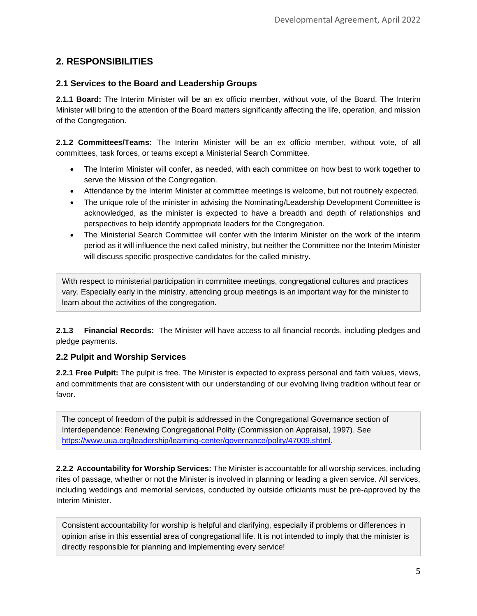# **2. RESPONSIBILITIES**

# **2.1 Services to the Board and Leadership Groups**

**2.1.1 Board:** The Interim Minister will be an ex officio member, without vote, of the Board. The Interim Minister will bring to the attention of the Board matters significantly affecting the life, operation, and mission of the Congregation.

**2.1.2 Committees/Teams:** The Interim Minister will be an ex officio member, without vote, of all committees, task forces, or teams except a Ministerial Search Committee.

- The Interim Minister will confer, as needed, with each committee on how best to work together to serve the Mission of the Congregation.
- Attendance by the Interim Minister at committee meetings is welcome, but not routinely expected.
- The unique role of the minister in advising the Nominating/Leadership Development Committee is acknowledged, as the minister is expected to have a breadth and depth of relationships and perspectives to help identify appropriate leaders for the Congregation.
- The Ministerial Search Committee will confer with the Interim Minister on the work of the interim period as it will influence the next called ministry, but neither the Committee nor the Interim Minister will discuss specific prospective candidates for the called ministry.

With respect to ministerial participation in committee meetings, congregational cultures and practices vary. Especially early in the ministry, attending group meetings is an important way for the minister to learn about the activities of the congregation.

**2.1.3 Financial Records:** The Minister will have access to all financial records, including pledges and pledge payments.

# **2.2 Pulpit and Worship Services**

**2.2.1 Free Pulpit:** The pulpit is free. The Minister is expected to express personal and faith values, views, and commitments that are consistent with our understanding of our evolving living tradition without fear or favor.

The concept of freedom of the pulpit is addressed in the Congregational Governance section of Interdependence: Renewing Congregational Polity (Commission on Appraisal, 1997). See [https://www.uua.org/leadership/learning-center/governance/polity/47009.shtml.](https://www.uua.org/leadership/learning-center/governance/polity/47009.shtml)

**2.2.2 Accountability for Worship Services:** The Minister is accountable for all worship services, including rites of passage, whether or not the Minister is involved in planning or leading a given service. All services, including weddings and memorial services, conducted by outside officiants must be pre-approved by the Interim Minister.

Consistent accountability for worship is helpful and clarifying, especially if problems or differences in opinion arise in this essential area of congregational life. It is not intended to imply that the minister is directly responsible for planning and implementing every service!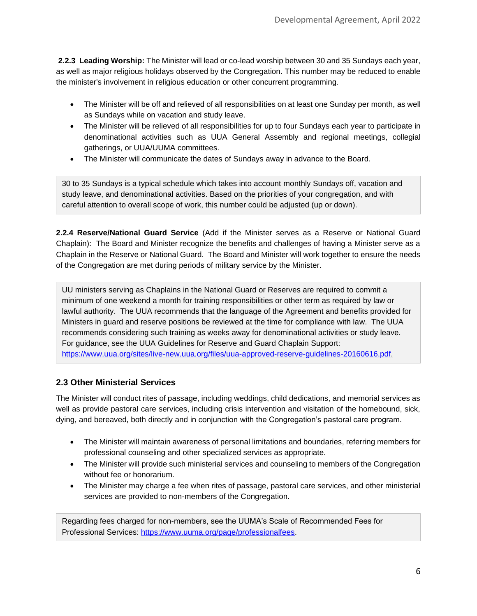**2.2.3 Leading Worship:** The Minister will lead or co-lead worship between 30 and 35 Sundays each year, as well as major religious holidays observed by the Congregation. This number may be reduced to enable the minister's involvement in religious education or other concurrent programming.

- The Minister will be off and relieved of all responsibilities on at least one Sunday per month, as well as Sundays while on vacation and study leave.
- The Minister will be relieved of all responsibilities for up to four Sundays each year to participate in denominational activities such as UUA General Assembly and regional meetings, collegial gatherings, or UUA/UUMA committees.
- The Minister will communicate the dates of Sundays away in advance to the Board.

30 to 35 Sundays is a typical schedule which takes into account monthly Sundays off, vacation and study leave, and denominational activities. Based on the priorities of your congregation, and with careful attention to overall scope of work, this number could be adjusted (up or down).

**2.2.4 Reserve/National Guard Service** (Add if the Minister serves as a Reserve or National Guard Chaplain): The Board and Minister recognize the benefits and challenges of having a Minister serve as a Chaplain in the Reserve or National Guard. The Board and Minister will work together to ensure the needs of the Congregation are met during periods of military service by the Minister.

UU ministers serving as Chaplains in the National Guard or Reserves are required to commit a minimum of one weekend a month for training responsibilities or other term as required by law or lawful authority. The UUA recommends that the language of the Agreement and benefits provided for Ministers in guard and reserve positions be reviewed at the time for compliance with law. The UUA recommends considering such training as weeks away for denominational activities or study leave. For guidance, see the UUA Guidelines for Reserve and Guard Chaplain Support: [https://www.uua.org/sites/live-new.uua.org/files/uua-approved-reserve-guidelines-20160616.pdf.](https://www.uua.org/sites/live-new.uua.org/files/uua-approved-reserve-guidelines-20160616.pdf)

# **2.3 Other Ministerial Services**

The Minister will conduct rites of passage, including weddings, child dedications, and memorial services as well as provide pastoral care services, including crisis intervention and visitation of the homebound, sick, dying, and bereaved, both directly and in conjunction with the Congregation's pastoral care program.

- The Minister will maintain awareness of personal limitations and boundaries, referring members for professional counseling and other specialized services as appropriate.
- The Minister will provide such ministerial services and counseling to members of the Congregation without fee or honorarium.
- The Minister may charge a fee when rites of passage, pastoral care services, and other ministerial services are provided to non-members of the Congregation.

Regarding fees charged for non-members, see the UUMA's Scale of Recommended Fees for Professional Services: [https://www.uuma.org/page/professionalfees.](https://www.uuma.org/page/professionalfees)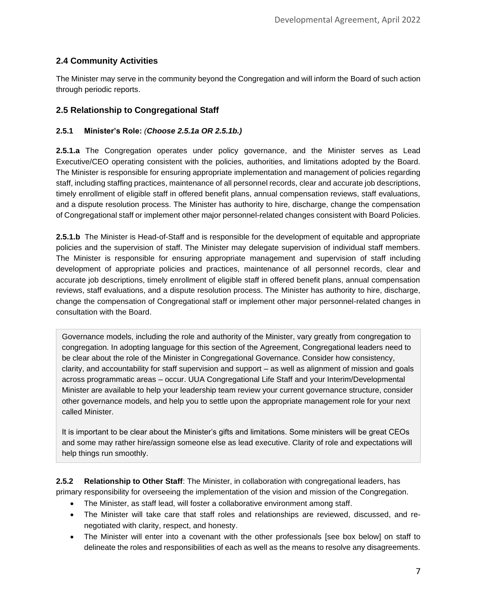# **2.4 Community Activities**

The Minister may serve in the community beyond the Congregation and will inform the Board of such action through periodic reports.

# **2.5 Relationship to Congregational Staff**

#### **2.5.1 Minister's Role:** *(Choose 2.5.1a OR 2.5.1b.)*

**2.5.1.a** The Congregation operates under policy governance, and the Minister serves as Lead Executive/CEO operating consistent with the policies, authorities, and limitations adopted by the Board. The Minister is responsible for ensuring appropriate implementation and management of policies regarding staff, including staffing practices, maintenance of all personnel records, clear and accurate job descriptions, timely enrollment of eligible staff in offered benefit plans, annual compensation reviews, staff evaluations, and a dispute resolution process. The Minister has authority to hire, discharge, change the compensation of Congregational staff or implement other major personnel-related changes consistent with Board Policies.

**2.5.1.b** The Minister is Head-of-Staff and is responsible for the development of equitable and appropriate policies and the supervision of staff. The Minister may delegate supervision of individual staff members. The Minister is responsible for ensuring appropriate management and supervision of staff including development of appropriate policies and practices, maintenance of all personnel records, clear and accurate job descriptions, timely enrollment of eligible staff in offered benefit plans, annual compensation reviews, staff evaluations, and a dispute resolution process. The Minister has authority to hire, discharge, change the compensation of Congregational staff or implement other major personnel-related changes in consultation with the Board.

Governance models, including the role and authority of the Minister, vary greatly from congregation to congregation. In adopting language for this section of the Agreement, Congregational leaders need to be clear about the role of the Minister in Congregational Governance. Consider how consistency, clarity, and accountability for staff supervision and support – as well as alignment of mission and goals across programmatic areas – occur. UUA Congregational Life Staff and your Interim/Developmental Minister are available to help your leadership team review your current governance structure, consider other governance models, and help you to settle upon the appropriate management role for your next called Minister.

It is important to be clear about the Minister's gifts and limitations. Some ministers will be great CEOs and some may rather hire/assign someone else as lead executive. Clarity of role and expectations will help things run smoothly.

**2.5.2 Relationship to Other Staff**: The Minister, in collaboration with congregational leaders, has primary responsibility for overseeing the implementation of the vision and mission of the Congregation.

- The Minister, as staff lead, will foster a collaborative environment among staff.
- The Minister will take care that staff roles and relationships are reviewed, discussed, and renegotiated with clarity, respect, and honesty.
- The Minister will enter into a covenant with the other professionals [see box below] on staff to delineate the roles and responsibilities of each as well as the means to resolve any disagreements.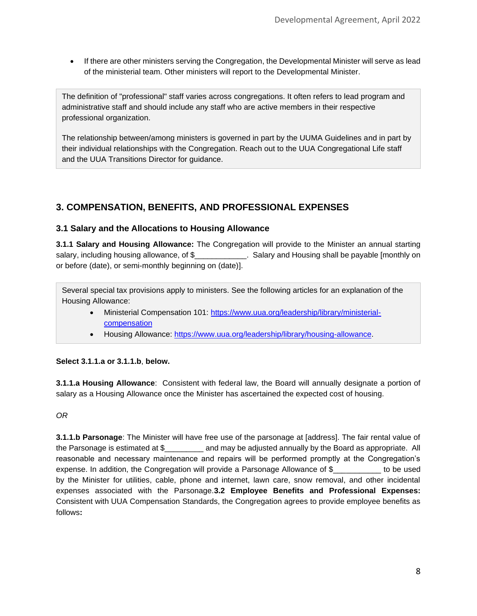• If there are other ministers serving the Congregation, the Developmental Minister will serve as lead of the ministerial team. Other ministers will report to the Developmental Minister.

The definition of "professional" staff varies across congregations. It often refers to lead program and administrative staff and should include any staff who are active members in their respective professional organization.

The relationship between/among ministers is governed in part by the UUMA Guidelines and in part by their individual relationships with the Congregation. Reach out to the UUA Congregational Life staff and the UUA Transitions Director for guidance.

# **3. COMPENSATION, BENEFITS, AND PROFESSIONAL EXPENSES**

# **3.1 Salary and the Allocations to Housing Allowance**

**3.1.1 Salary and Housing Allowance:** The Congregation will provide to the Minister an annual starting salary, including housing allowance, of \$\_\_\_\_\_\_\_\_\_\_\_\_. Salary and Housing shall be payable [monthly on or before (date), or semi-monthly beginning on (date)].

Several special tax provisions apply to ministers. See the following articles for an explanation of the Housing Allowance:

- Ministerial Compensation 101: [https://www.uua.org/leadership/library/ministerial](https://www.uua.org/leadership/library/ministerial-compensation)[compensation](https://www.uua.org/leadership/library/ministerial-compensation)
- Housing Allowance: [https://www.uua.org/leadership/library/housing-allowance.](https://www.uua.org/leadership/library/housing-allowance)

# **Select 3.1.1.a or 3.1.1.b**, **below.**

**3.1.1.a Housing Allowance**: Consistent with federal law, the Board will annually designate a portion of salary as a Housing Allowance once the Minister has ascertained the expected cost of housing.

# *OR*

**3.1.1.b Parsonage**: The Minister will have free use of the parsonage at [address]. The fair rental value of the Parsonage is estimated at \$\_\_\_\_\_\_\_\_\_ and may be adjusted annually by the Board as appropriate. All reasonable and necessary maintenance and repairs will be performed promptly at the Congregation's expense. In addition, the Congregation will provide a Parsonage Allowance of \$\_\_\_\_\_\_\_\_\_\_\_ to be used by the Minister for utilities, cable, phone and internet, lawn care, snow removal, and other incidental expenses associated with the Parsonage.**3.2 Employee Benefits and Professional Expenses:**  Consistent with UUA Compensation Standards, the Congregation agrees to provide employee benefits as follows**:**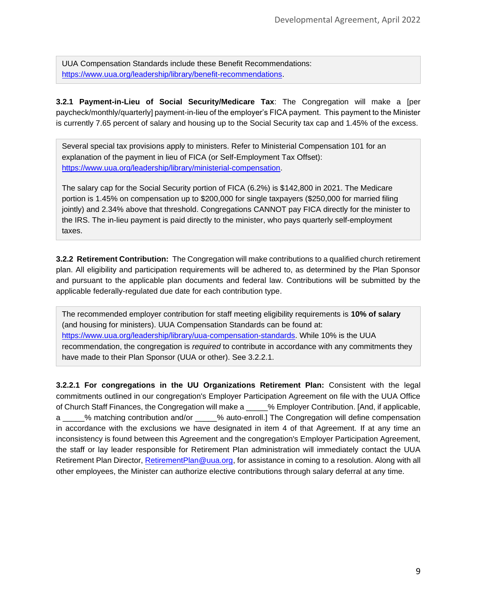UUA Compensation Standards include these Benefit Recommendations: [https://www.uua.org/leadership/library/benefit-recommendations.](https://www.uua.org/leadership/library/benefit-recommendations)

**3.2.1 Payment-in-Lieu of Social Security/Medicare Tax**: The Congregation will make a [per paycheck/monthly/quarterly] payment-in-lieu of the employer's FICA payment. This payment to the Minister is currently 7.65 percent of salary and housing up to the Social Security tax cap and 1.45% of the excess.

Several special tax provisions apply to ministers. Refer to Ministerial Compensation 101 for an explanation of the payment in lieu of FICA (or Self-Employment Tax Offset): [https://www.uua.org/leadership/library/ministerial-compensation.](https://www.uua.org/leadership/library/ministerial-compensation)

The salary cap for the Social Security portion of FICA (6.2%) is \$142,800 in 2021. The Medicare portion is 1.45% on compensation up to \$200,000 for single taxpayers (\$250,000 for married filing jointly) and 2.34% above that threshold. Congregations CANNOT pay FICA directly for the minister to the IRS. The in-lieu payment is paid directly to the minister, who pays quarterly self-employment taxes.

**3.2.2 Retirement Contribution:** The Congregation will make contributions to a qualified church retirement plan. All eligibility and participation requirements will be adhered to, as determined by the Plan Sponsor and pursuant to the applicable plan documents and federal law. Contributions will be submitted by the applicable federally-regulated due date for each contribution type.

The recommended employer contribution for staff meeting eligibility requirements is **10% of salary** (and housing for ministers). UUA Compensation Standards can be found at: [https://www.uua.org/leadership/library/uua-compensation-standards.](https://www.uua.org/leadership/library/uua-compensation-standards) While 10% is the UUA recommendation, the congregation is *required* to contribute in accordance with any commitments they have made to their Plan Sponsor (UUA or other). See 3.2.2.1.

**3.2.2.1 For congregations in the UU Organizations Retirement Plan:** Consistent with the legal commitments outlined in our congregation's Employer Participation Agreement on file with the UUA Office of Church Staff Finances, the Congregation will make a \_\_\_\_\_% Employer Contribution. [And, if applicable, a \_\_\_\_\_% matching contribution and/or \_\_\_\_\_% auto-enroll.] The Congregation will define compensation in accordance with the exclusions we have designated in item 4 of that Agreement. If at any time an inconsistency is found between this Agreement and the congregation's Employer Participation Agreement, the staff or lay leader responsible for Retirement Plan administration will immediately contact the UUA Retirement Plan Director, [RetirementPlan@uua.org,](mailto:RetirementPlan@uua.org) for assistance in coming to a resolution. Along with all other employees, the Minister can authorize elective contributions through salary deferral at any time.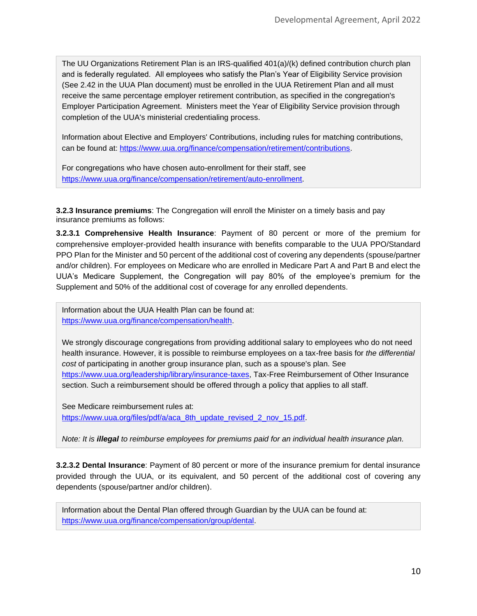The UU Organizations Retirement Plan is an IRS-qualified 401(a)/(k) defined contribution church plan and is federally regulated. All employees who satisfy the Plan's Year of Eligibility Service provision (See 2.42 in the UUA Plan document) must be enrolled in the UUA Retirement Plan and all must receive the same percentage employer retirement contribution, as specified in the congregation's Employer Participation Agreement. Ministers meet the Year of Eligibility Service provision through completion of the UUA's ministerial credentialing process.

Information about Elective and Employers' Contributions, including rules for matching contributions, can be found at: [https://www.uua.org/finance/compensation/retirement/contributions.](https://www.uua.org/finance/compensation/retirement/contributions)

For congregations who have chosen auto-enrollment for their staff, see [https://www.uua.org/finance/compensation/retirement/auto-enrollment.](https://www.uua.org/finance/compensation/retirement/auto-enrollment)

**3.2.3 Insurance premiums**: The Congregation will enroll the Minister on a timely basis and pay insurance premiums as follows:

**3.2.3.1 Comprehensive Health Insurance**: Payment of 80 percent or more of the premium for comprehensive employer-provided health insurance with benefits comparable to the UUA PPO/Standard PPO Plan for the Minister and 50 percent of the additional cost of covering any dependents (spouse/partner and/or children). For employees on Medicare who are enrolled in Medicare Part A and Part B and elect the UUA's Medicare Supplement, the Congregation will pay 80% of the employee's premium for the Supplement and 50% of the additional cost of coverage for any enrolled dependents.

Information about the UUA Health Plan can be found at: [https://www.uua.org/finance/compensation/health.](https://www.uua.org/finance/compensation/health)

We strongly discourage congregations from providing additional salary to employees who do not need health insurance. However, it is possible to reimburse employees on a tax-free basis for *the differential cost* of participating in another group insurance plan, such as a spouse's plan. See [https://www.uua.org/leadership/library/insurance-taxes,](https://www.uua.org/leadership/library/insurance-taxes) Tax-Free Reimbursement of Other Insurance section. Such a reimbursement should be offered through a policy that applies to all staff.

See Medicare reimbursement rules at: [https://www.uua.org/files/pdf/a/aca\\_8th\\_update\\_revised\\_2\\_nov\\_15.pdf.](https://www.uua.org/files/pdf/a/aca_8th_update_revised_2_nov_15.pdf)

*Note: It is illegal to reimburse employees for premiums paid for an individual health insurance plan.*

**3.2.3.2 Dental Insurance**: Payment of 80 percent or more of the insurance premium for dental insurance provided through the UUA, or its equivalent, and 50 percent of the additional cost of covering any dependents (spouse/partner and/or children).

Information about the Dental Plan offered through Guardian by the UUA can be found at: [https://www.uua.org/finance/compensation/group/dental.](https://www.uua.org/finance/compensation/group/dental)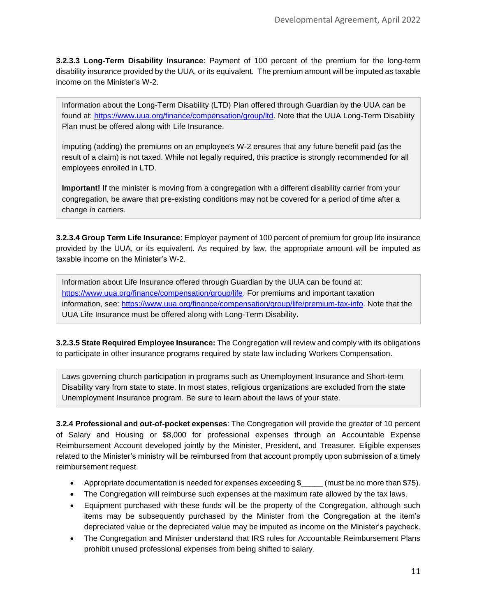**3.2.3.3 Long-Term Disability Insurance**: Payment of 100 percent of the premium for the long-term disability insurance provided by the UUA, or its equivalent. The premium amount will be imputed as taxable income on the Minister's W-2.

Information about the Long-Term Disability (LTD) Plan offered through Guardian by the UUA can be found at: [https://www.uua.org/finance/compensation/group/ltd.](https://www.uua.org/finance/compensation/group/ltd) Note that the UUA Long-Term Disability Plan must be offered along with Life Insurance.

Imputing (adding) the premiums on an employee's W-2 ensures that any future benefit paid (as the result of a claim) is not taxed. While not legally required, this practice is strongly recommended for all employees enrolled in LTD.

**Important!** If the minister is moving from a congregation with a different disability carrier from your congregation, be aware that pre-existing conditions may not be covered for a period of time after a change in carriers.

**3.2.3.4 Group Term Life Insurance**: Employer payment of 100 percent of premium for group life insurance provided by the UUA, or its equivalent. As required by law, the appropriate amount will be imputed as taxable income on the Minister's W-2.

Information about Life Insurance offered through Guardian by the UUA can be found at: [https://www.uua.org/finance/compensation/group/life.](https://www.uua.org/finance/compensation/group/life) For premiums and important taxation information, see: [https://www.uua.org/finance/compensation/group/life/premium-tax-info.](https://www.uua.org/finance/compensation/group/life/premium-tax-info) Note that the UUA Life Insurance must be offered along with Long-Term Disability.

**3.2.3.5 State Required Employee Insurance:** The Congregation will review and comply with its obligations to participate in other insurance programs required by state law including Workers Compensation.

Laws governing church participation in programs such as Unemployment Insurance and Short-term Disability vary from state to state. In most states, religious organizations are excluded from the state Unemployment Insurance program. Be sure to learn about the laws of your state.

**3.2.4 Professional and out-of-pocket expenses**: The Congregation will provide the greater of 10 percent of Salary and Housing or \$8,000 for professional expenses through an Accountable Expense Reimbursement Account developed jointly by the Minister, President, and Treasurer. Eligible expenses related to the Minister's ministry will be reimbursed from that account promptly upon submission of a timely reimbursement request.

- Appropriate documentation is needed for expenses exceeding \$\_\_\_\_\_\_ (must be no more than \$75).
- The Congregation will reimburse such expenses at the maximum rate allowed by the tax laws.
- Equipment purchased with these funds will be the property of the Congregation, although such items may be subsequently purchased by the Minister from the Congregation at the item's depreciated value or the depreciated value may be imputed as income on the Minister's paycheck.
- The Congregation and Minister understand that IRS rules for Accountable Reimbursement Plans prohibit unused professional expenses from being shifted to salary.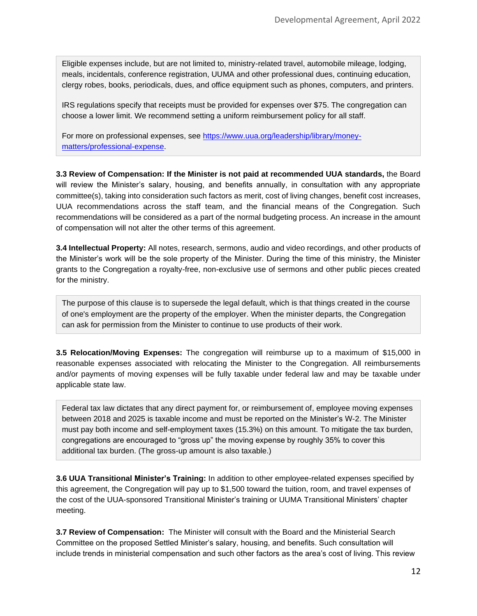Eligible expenses include, but are not limited to, ministry-related travel, automobile mileage, lodging, meals, incidentals, conference registration, UUMA and other professional dues, continuing education, clergy robes, books, periodicals, dues, and office equipment such as phones, computers, and printers.

IRS regulations specify that receipts must be provided for expenses over \$75. The congregation can choose a lower limit. We recommend setting a uniform reimbursement policy for all staff.

For more on professional expenses, see [https://www.uua.org/leadership/library/money](https://www.uua.org/leadership/library/money-matters/professional-expense)[matters/professional-expense.](https://www.uua.org/leadership/library/money-matters/professional-expense)

**3.3 Review of Compensation: If the Minister is not paid at recommended UUA standards,** the Board will review the Minister's salary, housing, and benefits annually, in consultation with any appropriate committee(s), taking into consideration such factors as merit, cost of living changes, benefit cost increases, UUA recommendations across the staff team, and the financial means of the Congregation. Such recommendations will be considered as a part of the normal budgeting process. An increase in the amount of compensation will not alter the other terms of this agreement.

**3.4 Intellectual Property:** All notes, research, sermons, audio and video recordings, and other products of the Minister's work will be the sole property of the Minister. During the time of this ministry, the Minister grants to the Congregation a royalty-free, non-exclusive use of sermons and other public pieces created for the ministry.

The purpose of this clause is to supersede the legal default, which is that things created in the course of one's employment are the property of the employer. When the minister departs, the Congregation can ask for permission from the Minister to continue to use products of their work.

**3.5 Relocation/Moving Expenses:** The congregation will reimburse up to a maximum of \$15,000 in reasonable expenses associated with relocating the Minister to the Congregation. All reimbursements and/or payments of moving expenses will be fully taxable under federal law and may be taxable under applicable state law.

Federal tax law dictates that any direct payment for, or reimbursement of, employee moving expenses between 2018 and 2025 is taxable income and must be reported on the Minister's W-2. The Minister must pay both income and self-employment taxes (15.3%) on this amount. To mitigate the tax burden, congregations are encouraged to "gross up" the moving expense by roughly 35% to cover this additional tax burden. (The gross-up amount is also taxable.)

**3.6 UUA Transitional Minister's Training:** In addition to other employee-related expenses specified by this agreement, the Congregation will pay up to \$1,500 toward the tuition, room, and travel expenses of the cost of the UUA-sponsored Transitional Minister's training or UUMA Transitional Ministers' chapter meeting.

**3.7 Review of Compensation:** The Minister will consult with the Board and the Ministerial Search Committee on the proposed Settled Minister's salary, housing, and benefits. Such consultation will include trends in ministerial compensation and such other factors as the area's cost of living. This review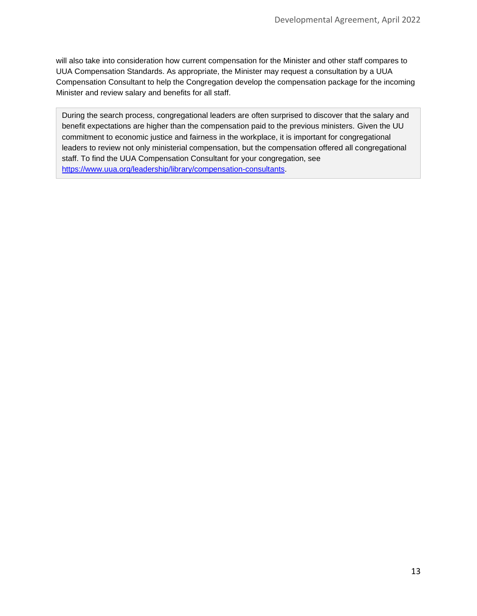will also take into consideration how current compensation for the Minister and other staff compares to UUA Compensation Standards. As appropriate, the Minister may request a consultation by a UUA Compensation Consultant to help the Congregation develop the compensation package for the incoming Minister and review salary and benefits for all staff.

During the search process, congregational leaders are often surprised to discover that the salary and benefit expectations are higher than the compensation paid to the previous ministers. Given the UU commitment to economic justice and fairness in the workplace, it is important for congregational leaders to review not only ministerial compensation, but the compensation offered all congregational staff. To find the UUA Compensation Consultant for your congregation, see [https://www.uua.org/leadership/library/compensation-consultants.](https://www.uua.org/leadership/library/compensation-consultants)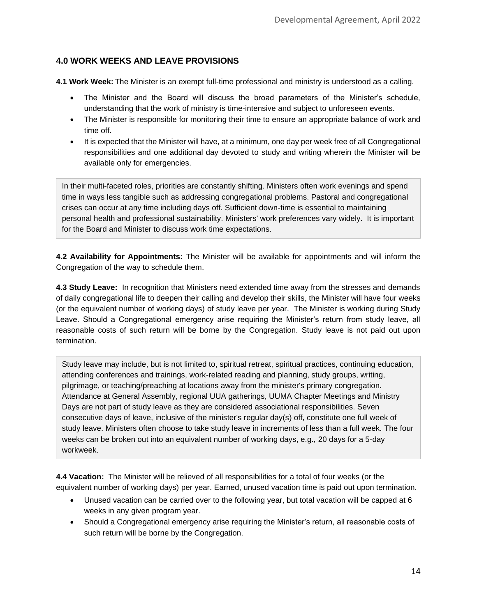# **4.0 WORK WEEKS AND LEAVE PROVISIONS**

**4.1 Work Week:** The Minister is an exempt full-time professional and ministry is understood as a calling.

- The Minister and the Board will discuss the broad parameters of the Minister's schedule, understanding that the work of ministry is time-intensive and subject to unforeseen events.
- The Minister is responsible for monitoring their time to ensure an appropriate balance of work and time off.
- It is expected that the Minister will have, at a minimum, one day per week free of all Congregational responsibilities and one additional day devoted to study and writing wherein the Minister will be available only for emergencies.

In their multi-faceted roles, priorities are constantly shifting. Ministers often work evenings and spend time in ways less tangible such as addressing congregational problems. Pastoral and congregational crises can occur at any time including days off. Sufficient down-time is essential to maintaining personal health and professional sustainability. Ministers' work preferences vary widely. It is important for the Board and Minister to discuss work time expectations.

**4.2 Availability for Appointments:** The Minister will be available for appointments and will inform the Congregation of the way to schedule them.

**4.3 Study Leave:** In recognition that Ministers need extended time away from the stresses and demands of daily congregational life to deepen their calling and develop their skills, the Minister will have four weeks (or the equivalent number of working days) of study leave per year. The Minister is working during Study Leave. Should a Congregational emergency arise requiring the Minister's return from study leave, all reasonable costs of such return will be borne by the Congregation. Study leave is not paid out upon termination.

Study leave may include, but is not limited to, spiritual retreat, spiritual practices, continuing education, attending conferences and trainings, work-related reading and planning, study groups, writing, pilgrimage, or teaching/preaching at locations away from the minister's primary congregation. Attendance at General Assembly, regional UUA gatherings, UUMA Chapter Meetings and Ministry Days are not part of study leave as they are considered associational responsibilities. Seven consecutive days of leave, inclusive of the minister's regular day(s) off, constitute one full week of study leave. Ministers often choose to take study leave in increments of less than a full week. The four weeks can be broken out into an equivalent number of working days, e.g., 20 days for a 5-day workweek.

**4.4 Vacation:** The Minister will be relieved of all responsibilities for a total of four weeks (or the equivalent number of working days) per year. Earned, unused vacation time is paid out upon termination.

- Unused vacation can be carried over to the following year, but total vacation will be capped at 6 weeks in any given program year.
- Should a Congregational emergency arise requiring the Minister's return, all reasonable costs of such return will be borne by the Congregation.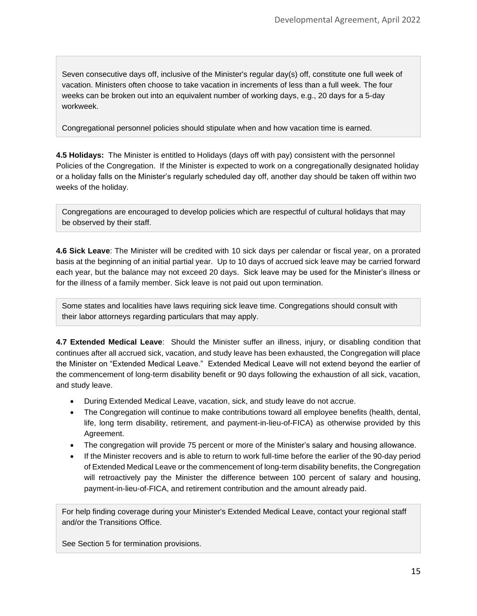Seven consecutive days off, inclusive of the Minister's regular day(s) off, constitute one full week of vacation. Ministers often choose to take vacation in increments of less than a full week. The four weeks can be broken out into an equivalent number of working days, e.g., 20 days for a 5-day workweek.

Congregational personnel policies should stipulate when and how vacation time is earned.

**4.5 Holidays:** The Minister is entitled to Holidays (days off with pay) consistent with the personnel Policies of the Congregation. If the Minister is expected to work on a congregationally designated holiday or a holiday falls on the Minister's regularly scheduled day off, another day should be taken off within two weeks of the holiday.

Congregations are encouraged to develop policies which are respectful of cultural holidays that may be observed by their staff.

**4.6 Sick Leave**: The Minister will be credited with 10 sick days per calendar or fiscal year, on a prorated basis at the beginning of an initial partial year. Up to 10 days of accrued sick leave may be carried forward each year, but the balance may not exceed 20 days. Sick leave may be used for the Minister's illness or for the illness of a family member. Sick leave is not paid out upon termination.

Some states and localities have laws requiring sick leave time. Congregations should consult with their labor attorneys regarding particulars that may apply.

**4.7 Extended Medical Leave**: Should the Minister suffer an illness, injury, or disabling condition that continues after all accrued sick, vacation, and study leave has been exhausted, the Congregation will place the Minister on "Extended Medical Leave." Extended Medical Leave will not extend beyond the earlier of the commencement of long-term disability benefit or 90 days following the exhaustion of all sick, vacation, and study leave.

- During Extended Medical Leave, vacation, sick, and study leave do not accrue.
- The Congregation will continue to make contributions toward all employee benefits (health, dental, life, long term disability, retirement, and payment-in-lieu-of-FICA) as otherwise provided by this Agreement.
- The congregation will provide 75 percent or more of the Minister's salary and housing allowance.
- If the Minister recovers and is able to return to work full-time before the earlier of the 90-day period of Extended Medical Leave or the commencement of long-term disability benefits, the Congregation will retroactively pay the Minister the difference between 100 percent of salary and housing, payment-in-lieu-of-FICA, and retirement contribution and the amount already paid.

For help finding coverage during your Minister's Extended Medical Leave, contact your regional staff and/or the Transitions Office.

See Section 5 for termination provisions.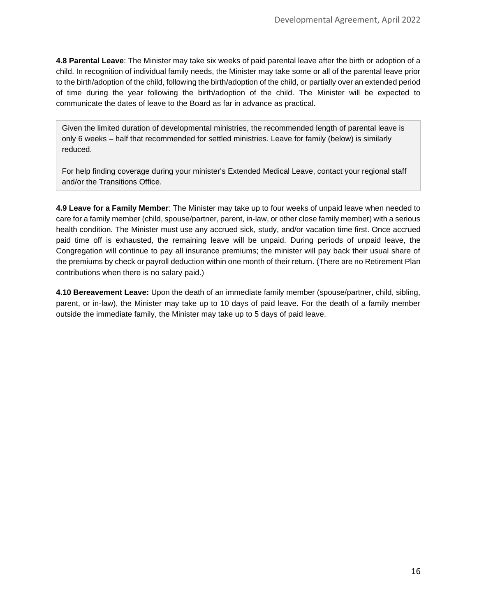**4.8 Parental Leave**: The Minister may take six weeks of paid parental leave after the birth or adoption of a child. In recognition of individual family needs, the Minister may take some or all of the parental leave prior to the birth/adoption of the child, following the birth/adoption of the child, or partially over an extended period of time during the year following the birth/adoption of the child. The Minister will be expected to communicate the dates of leave to the Board as far in advance as practical.

Given the limited duration of developmental ministries, the recommended length of parental leave is only 6 weeks – half that recommended for settled ministries. Leave for family (below) is similarly reduced.

For help finding coverage during your minister's Extended Medical Leave, contact your regional staff and/or the Transitions Office.

**4.9 Leave for a Family Member**: The Minister may take up to four weeks of unpaid leave when needed to care for a family member (child, spouse/partner, parent, in-law, or other close family member) with a serious health condition. The Minister must use any accrued sick, study, and/or vacation time first. Once accrued paid time off is exhausted, the remaining leave will be unpaid. During periods of unpaid leave, the Congregation will continue to pay all insurance premiums; the minister will pay back their usual share of the premiums by check or payroll deduction within one month of their return. (There are no Retirement Plan contributions when there is no salary paid.)

**4.10 Bereavement Leave:** Upon the death of an immediate family member (spouse/partner, child, sibling, parent, or in-law), the Minister may take up to 10 days of paid leave. For the death of a family member outside the immediate family, the Minister may take up to 5 days of paid leave.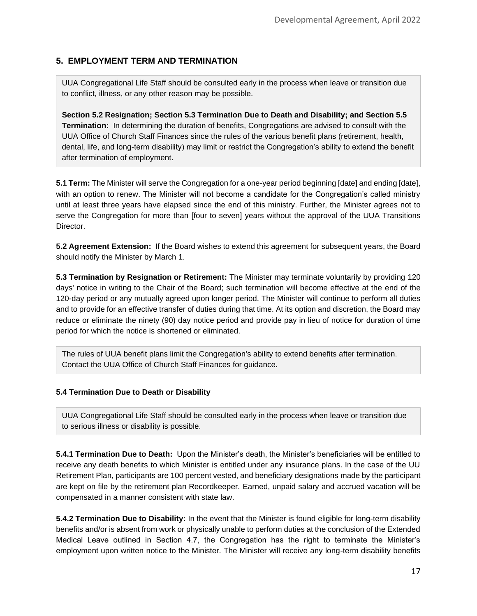# **5. EMPLOYMENT TERM AND TERMINATION**

UUA Congregational Life Staff should be consulted early in the process when leave or transition due to conflict, illness, or any other reason may be possible.

**Section 5.2 Resignation; Section 5.3 Termination Due to Death and Disability; and Section 5.5 Termination:** In determining the duration of benefits, Congregations are advised to consult with the UUA Office of Church Staff Finances since the rules of the various benefit plans (retirement, health, dental, life, and long-term disability) may limit or restrict the Congregation's ability to extend the benefit after termination of employment.

**5.1 Term:** The Minister will serve the Congregation for a one-year period beginning [date] and ending [date], with an option to renew. The Minister will not become a candidate for the Congregation's called ministry until at least three years have elapsed since the end of this ministry. Further, the Minister agrees not to serve the Congregation for more than [four to seven] years without the approval of the UUA Transitions Director.

**5.2 Agreement Extension:** If the Board wishes to extend this agreement for subsequent years, the Board should notify the Minister by March 1.

**5.3 Termination by Resignation or Retirement:** The Minister may terminate voluntarily by providing 120 days' notice in writing to the Chair of the Board; such termination will become effective at the end of the 120-day period or any mutually agreed upon longer period. The Minister will continue to perform all duties and to provide for an effective transfer of duties during that time. At its option and discretion, the Board may reduce or eliminate the ninety (90) day notice period and provide pay in lieu of notice for duration of time period for which the notice is shortened or eliminated.

The rules of UUA benefit plans limit the Congregation's ability to extend benefits after termination. Contact the UUA Office of Church Staff Finances for guidance.

#### **5.4 Termination Due to Death or Disability**

UUA Congregational Life Staff should be consulted early in the process when leave or transition due to serious illness or disability is possible.

**5.4.1 Termination Due to Death:** Upon the Minister's death, the Minister's beneficiaries will be entitled to receive any death benefits to which Minister is entitled under any insurance plans. In the case of the UU Retirement Plan, participants are 100 percent vested, and beneficiary designations made by the participant are kept on file by the retirement plan Recordkeeper. Earned, unpaid salary and accrued vacation will be compensated in a manner consistent with state law.

**5.4.2 Termination Due to Disability:** In the event that the Minister is found eligible for long-term disability benefits and/or is absent from work or physically unable to perform duties at the conclusion of the Extended Medical Leave outlined in Section 4.7, the Congregation has the right to terminate the Minister's employment upon written notice to the Minister. The Minister will receive any long-term disability benefits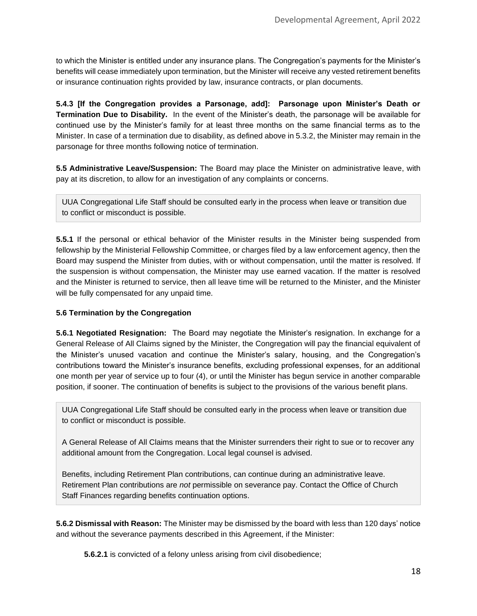to which the Minister is entitled under any insurance plans. The Congregation's payments for the Minister's benefits will cease immediately upon termination, but the Minister will receive any vested retirement benefits or insurance continuation rights provided by law, insurance contracts, or plan documents.

**5.4.3 [If the Congregation provides a Parsonage, add]: Parsonage upon Minister's Death or Termination Due to Disability.** In the event of the Minister's death, the parsonage will be available for continued use by the Minister's family for at least three months on the same financial terms as to the Minister. In case of a termination due to disability, as defined above in 5.3.2, the Minister may remain in the parsonage for three months following notice of termination.

**5.5 Administrative Leave/Suspension:** The Board may place the Minister on administrative leave, with pay at its discretion, to allow for an investigation of any complaints or concerns.

UUA Congregational Life Staff should be consulted early in the process when leave or transition due to conflict or misconduct is possible.

**5.5.1** If the personal or ethical behavior of the Minister results in the Minister being suspended from fellowship by the Ministerial Fellowship Committee, or charges filed by a law enforcement agency, then the Board may suspend the Minister from duties, with or without compensation, until the matter is resolved. If the suspension is without compensation, the Minister may use earned vacation. If the matter is resolved and the Minister is returned to service, then all leave time will be returned to the Minister, and the Minister will be fully compensated for any unpaid time.

#### **5.6 Termination by the Congregation**

**5.6.1 Negotiated Resignation:** The Board may negotiate the Minister's resignation. In exchange for a General Release of All Claims signed by the Minister, the Congregation will pay the financial equivalent of the Minister's unused vacation and continue the Minister's salary, housing, and the Congregation's contributions toward the Minister's insurance benefits, excluding professional expenses, for an additional one month per year of service up to four (4), or until the Minister has begun service in another comparable position, if sooner. The continuation of benefits is subject to the provisions of the various benefit plans.

UUA Congregational Life Staff should be consulted early in the process when leave or transition due to conflict or misconduct is possible.

A General Release of All Claims means that the Minister surrenders their right to sue or to recover any additional amount from the Congregation. Local legal counsel is advised.

Benefits, including Retirement Plan contributions, can continue during an administrative leave. Retirement Plan contributions are *not* permissible on severance pay. Contact the Office of Church Staff Finances regarding benefits continuation options.

**5.6.2 Dismissal with Reason:** The Minister may be dismissed by the board with less than 120 days' notice and without the severance payments described in this Agreement, if the Minister:

**5.6.2.1** is convicted of a felony unless arising from civil disobedience;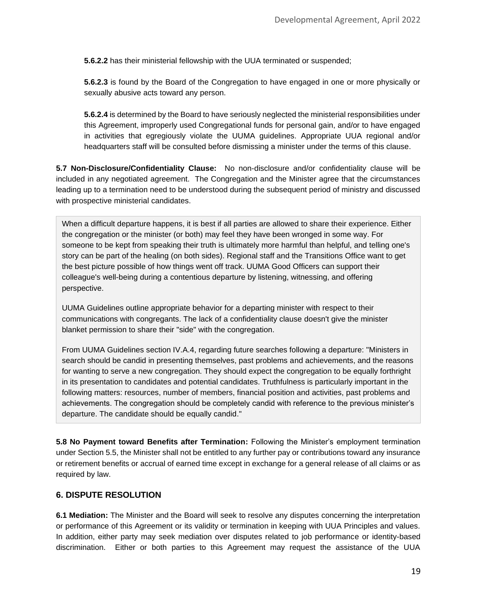**5.6.2.2** has their ministerial fellowship with the UUA terminated or suspended;

**5.6.2.3** is found by the Board of the Congregation to have engaged in one or more physically or sexually abusive acts toward any person.

**5.6.2.4** is determined by the Board to have seriously neglected the ministerial responsibilities under this Agreement, improperly used Congregational funds for personal gain, and/or to have engaged in activities that egregiously violate the UUMA guidelines. Appropriate UUA regional and/or headquarters staff will be consulted before dismissing a minister under the terms of this clause.

**5.7 Non-Disclosure/Confidentiality Clause:** No non-disclosure and/or confidentiality clause will be included in any negotiated agreement. The Congregation and the Minister agree that the circumstances leading up to a termination need to be understood during the subsequent period of ministry and discussed with prospective ministerial candidates.

When a difficult departure happens, it is best if all parties are allowed to share their experience. Either the congregation or the minister (or both) may feel they have been wronged in some way. For someone to be kept from speaking their truth is ultimately more harmful than helpful, and telling one's story can be part of the healing (on both sides). Regional staff and the Transitions Office want to get the best picture possible of how things went off track. UUMA Good Officers can support their colleague's well-being during a contentious departure by listening, witnessing, and offering perspective.

UUMA Guidelines outline appropriate behavior for a departing minister with respect to their communications with congregants. The lack of a confidentiality clause doesn't give the minister blanket permission to share their "side" with the congregation.

From UUMA Guidelines section IV.A.4, regarding future searches following a departure: "Ministers in search should be candid in presenting themselves, past problems and achievements, and the reasons for wanting to serve a new congregation. They should expect the congregation to be equally forthright in its presentation to candidates and potential candidates. Truthfulness is particularly important in the following matters: resources, number of members, financial position and activities, past problems and achievements. The congregation should be completely candid with reference to the previous minister's departure. The candidate should be equally candid."

**5.8 No Payment toward Benefits after Termination:** Following the Minister's employment termination under Section 5.5, the Minister shall not be entitled to any further pay or contributions toward any insurance or retirement benefits or accrual of earned time except in exchange for a general release of all claims or as required by law.

# **6. DISPUTE RESOLUTION**

**6.1 Mediation:** The Minister and the Board will seek to resolve any disputes concerning the interpretation or performance of this Agreement or its validity or termination in keeping with UUA Principles and values. In addition, either party may seek mediation over disputes related to job performance or identity-based discrimination. Either or both parties to this Agreement may request the assistance of the UUA